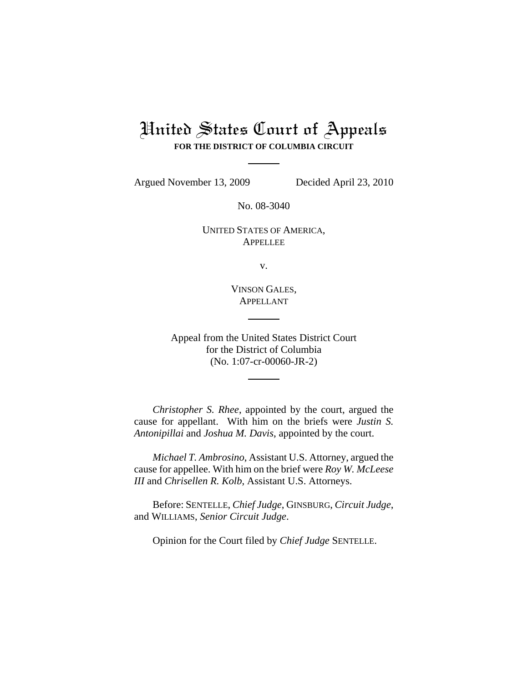# United States Court of Appeals **FOR THE DISTRICT OF COLUMBIA CIRCUIT**

Argued November 13, 2009 Decided April 23, 2010

No. 08-3040

UNITED STATES OF AMERICA, APPELLEE

v.

VINSON GALES, APPELLANT

Appeal from the United States District Court for the District of Columbia (No. 1:07-cr-00060-JR-2)

*Christopher S. Rhee*, appointed by the court, argued the cause for appellant. With him on the briefs were *Justin S. Antonipillai* and *Joshua M. Davis*, appointed by the court.

*Michael T. Ambrosino*, Assistant U.S. Attorney, argued the cause for appellee. With him on the brief were *Roy W. McLeese III* and *Chrisellen R. Kolb*, Assistant U.S. Attorneys.

Before: SENTELLE, *Chief Judge*, GINSBURG, *Circuit Judge*, and WILLIAMS, *Senior Circuit Judge*.

Opinion for the Court filed by *Chief Judge* SENTELLE.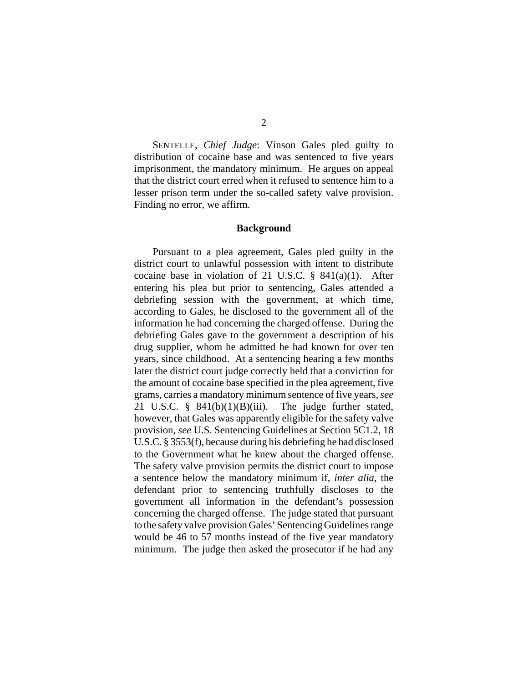SENTELLE, *Chief Judge*: Vinson Gales pled guilty to distribution of cocaine base and was sentenced to five years imprisonment, the mandatory minimum. He argues on appeal that the district court erred when it refused to sentence him to a lesser prison term under the so-called safety valve provision. Finding no error, we affirm.

## **Background**

Pursuant to a plea agreement, Gales pled guilty in the district court to unlawful possession with intent to distribute cocaine base in violation of 21 U.S.C. § 841(a)(1). After entering his plea but prior to sentencing, Gales attended a debriefing session with the government, at which time, according to Gales, he disclosed to the government all of the information he had concerning the charged offense. During the debriefing Gales gave to the government a description of his drug supplier, whom he admitted he had known for over ten years, since childhood. At a sentencing hearing a few months later the district court judge correctly held that a conviction for the amount of cocaine base specified in the plea agreement, five grams, carries a mandatory minimum sentence of five years, *see* 21 U.S.C. § 841(b)(1)(B)(iii). The judge further stated, however, that Gales was apparently eligible for the safety valve provision, *see* U.S. Sentencing Guidelines at Section 5C1.2, 18 U.S.C. § 3553(f), because during his debriefing he had disclosed to the Government what he knew about the charged offense. The safety valve provision permits the district court to impose a sentence below the mandatory minimum if, *inter alia*, the defendant prior to sentencing truthfully discloses to the government all information in the defendant's possession concerning the charged offense. The judge stated that pursuant to the safety valve provision Gales' Sentencing Guidelines range would be 46 to 57 months instead of the five year mandatory minimum. The judge then asked the prosecutor if he had any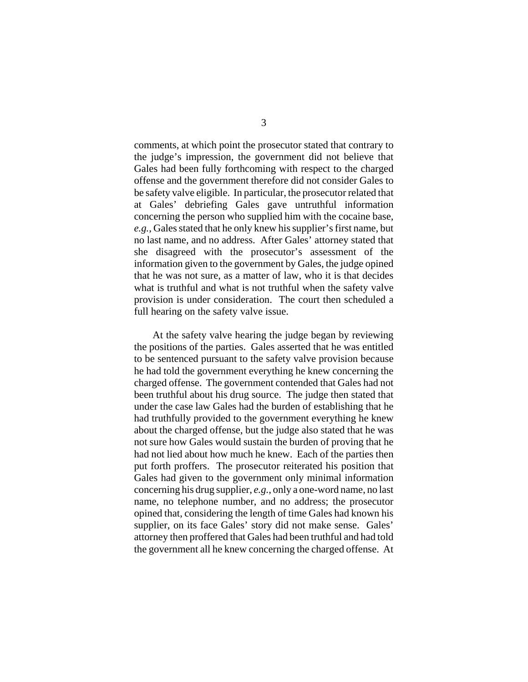comments, at which point the prosecutor stated that contrary to the judge's impression, the government did not believe that Gales had been fully forthcoming with respect to the charged offense and the government therefore did not consider Gales to be safety valve eligible. In particular, the prosecutor related that at Gales' debriefing Gales gave untruthful information concerning the person who supplied him with the cocaine base, *e.g.*, Gales stated that he only knew his supplier's first name, but no last name, and no address. After Gales' attorney stated that she disagreed with the prosecutor's assessment of the information given to the government by Gales, the judge opined that he was not sure, as a matter of law, who it is that decides what is truthful and what is not truthful when the safety valve provision is under consideration. The court then scheduled a full hearing on the safety valve issue.

At the safety valve hearing the judge began by reviewing the positions of the parties. Gales asserted that he was entitled to be sentenced pursuant to the safety valve provision because he had told the government everything he knew concerning the charged offense. The government contended that Gales had not been truthful about his drug source. The judge then stated that under the case law Gales had the burden of establishing that he had truthfully provided to the government everything he knew about the charged offense, but the judge also stated that he was not sure how Gales would sustain the burden of proving that he had not lied about how much he knew. Each of the parties then put forth proffers. The prosecutor reiterated his position that Gales had given to the government only minimal information concerning his drug supplier, *e.g.*, only a one-word name, no last name, no telephone number, and no address; the prosecutor opined that, considering the length of time Gales had known his supplier, on its face Gales' story did not make sense. Gales' attorney then proffered that Gales had been truthful and had told the government all he knew concerning the charged offense. At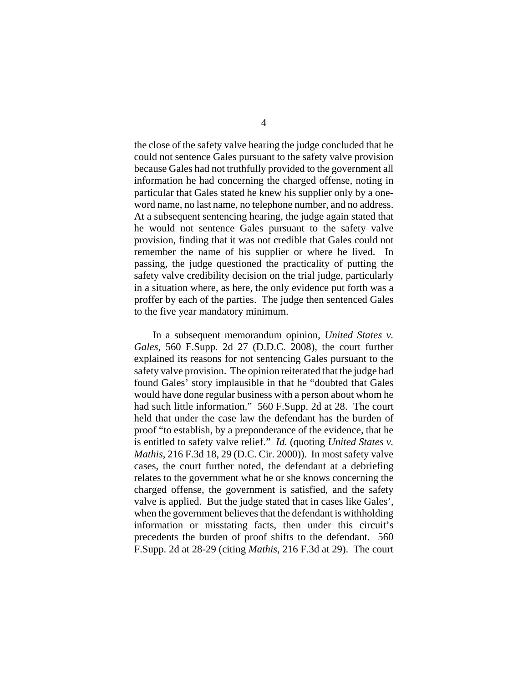the close of the safety valve hearing the judge concluded that he could not sentence Gales pursuant to the safety valve provision because Gales had not truthfully provided to the government all information he had concerning the charged offense, noting in particular that Gales stated he knew his supplier only by a oneword name, no last name, no telephone number, and no address. At a subsequent sentencing hearing, the judge again stated that he would not sentence Gales pursuant to the safety valve provision, finding that it was not credible that Gales could not remember the name of his supplier or where he lived. In passing, the judge questioned the practicality of putting the safety valve credibility decision on the trial judge, particularly in a situation where, as here, the only evidence put forth was a proffer by each of the parties. The judge then sentenced Gales to the five year mandatory minimum.

In a subsequent memorandum opinion, *United States v. Gales*, 560 F.Supp. 2d 27 (D.D.C. 2008), the court further explained its reasons for not sentencing Gales pursuant to the safety valve provision. The opinion reiterated that the judge had found Gales' story implausible in that he "doubted that Gales would have done regular business with a person about whom he had such little information." 560 F.Supp. 2d at 28. The court held that under the case law the defendant has the burden of proof "to establish, by a preponderance of the evidence, that he is entitled to safety valve relief." *Id.* (quoting *United States v. Mathis*, 216 F.3d 18, 29 (D.C. Cir. 2000)). In most safety valve cases, the court further noted, the defendant at a debriefing relates to the government what he or she knows concerning the charged offense, the government is satisfied, and the safety valve is applied. But the judge stated that in cases like Gales', when the government believes that the defendant is withholding information or misstating facts, then under this circuit's precedents the burden of proof shifts to the defendant. 560 F.Supp. 2d at 28-29 (citing *Mathis*, 216 F.3d at 29). The court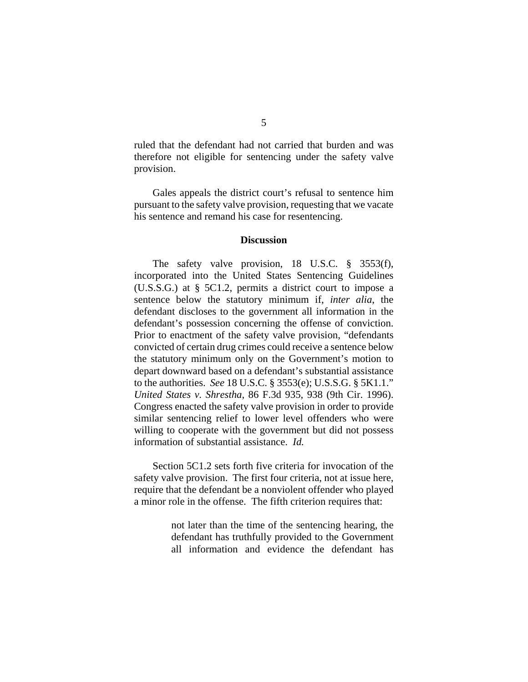ruled that the defendant had not carried that burden and was therefore not eligible for sentencing under the safety valve provision.

Gales appeals the district court's refusal to sentence him pursuant to the safety valve provision, requesting that we vacate his sentence and remand his case for resentencing.

### **Discussion**

The safety valve provision, 18 U.S.C. § 3553(f), incorporated into the United States Sentencing Guidelines (U.S.S.G.) at § 5C1.2, permits a district court to impose a sentence below the statutory minimum if, *inter alia*, the defendant discloses to the government all information in the defendant's possession concerning the offense of conviction. Prior to enactment of the safety valve provision, "defendants convicted of certain drug crimes could receive a sentence below the statutory minimum only on the Government's motion to depart downward based on a defendant's substantial assistance to the authorities. *See* 18 U.S.C. § 3553(e); U.S.S.G. § 5K1.1." *United States v. Shrestha*, 86 F.3d 935, 938 (9th Cir. 1996). Congress enacted the safety valve provision in order to provide similar sentencing relief to lower level offenders who were willing to cooperate with the government but did not possess information of substantial assistance. *Id.*

Section 5C1.2 sets forth five criteria for invocation of the safety valve provision. The first four criteria, not at issue here, require that the defendant be a nonviolent offender who played a minor role in the offense. The fifth criterion requires that:

> not later than the time of the sentencing hearing, the defendant has truthfully provided to the Government all information and evidence the defendant has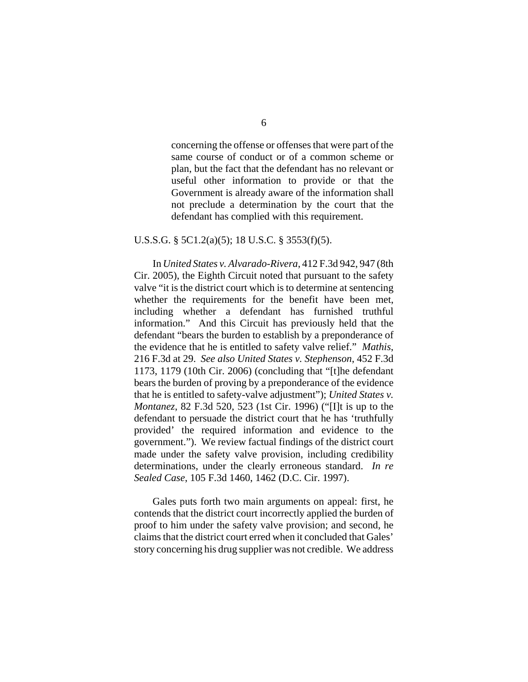concerning the offense or offenses that were part of the same course of conduct or of a common scheme or plan, but the fact that the defendant has no relevant or useful other information to provide or that the Government is already aware of the information shall not preclude a determination by the court that the defendant has complied with this requirement.

#### U.S.S.G. § 5C1.2(a)(5); 18 U.S.C. § 3553(f)(5).

In *United States v. Alvarado-Rivera*, 412 F.3d 942, 947 (8th Cir. 2005), the Eighth Circuit noted that pursuant to the safety valve "it is the district court which is to determine at sentencing whether the requirements for the benefit have been met, including whether a defendant has furnished truthful information." And this Circuit has previously held that the defendant "bears the burden to establish by a preponderance of the evidence that he is entitled to safety valve relief." *Mathis*, 216 F.3d at 29. *See also United States v. Stephenson*, 452 F.3d 1173, 1179 (10th Cir. 2006) (concluding that "[t]he defendant bears the burden of proving by a preponderance of the evidence that he is entitled to safety-valve adjustment"); *United States v. Montanez*, 82 F.3d 520, 523 (1st Cir. 1996) ("[I]t is up to the defendant to persuade the district court that he has 'truthfully provided' the required information and evidence to the government."). We review factual findings of the district court made under the safety valve provision, including credibility determinations, under the clearly erroneous standard. *In re Sealed Case*, 105 F.3d 1460, 1462 (D.C. Cir. 1997).

Gales puts forth two main arguments on appeal: first, he contends that the district court incorrectly applied the burden of proof to him under the safety valve provision; and second, he claims that the district court erred when it concluded that Gales' story concerning his drug supplier was not credible. We address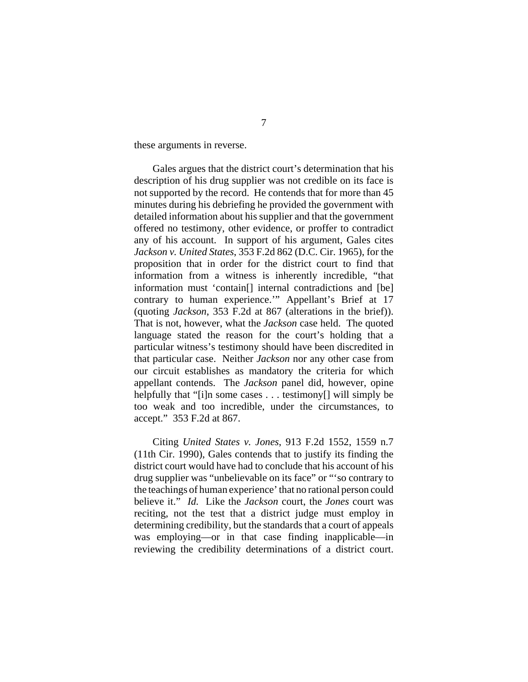these arguments in reverse.

Gales argues that the district court's determination that his description of his drug supplier was not credible on its face is not supported by the record. He contends that for more than 45 minutes during his debriefing he provided the government with detailed information about his supplier and that the government offered no testimony, other evidence, or proffer to contradict any of his account. In support of his argument, Gales cites *Jackson v. United States*, 353 F.2d 862 (D.C. Cir. 1965), for the proposition that in order for the district court to find that information from a witness is inherently incredible, "that information must 'contain[] internal contradictions and [be] contrary to human experience.'" Appellant's Brief at 17 (quoting *Jackson*, 353 F.2d at 867 (alterations in the brief)). That is not, however, what the *Jackson* case held. The quoted language stated the reason for the court's holding that a particular witness's testimony should have been discredited in that particular case. Neither *Jackson* nor any other case from our circuit establishes as mandatory the criteria for which appellant contends. The *Jackson* panel did, however, opine helpfully that "[i]n some cases . . . testimony[] will simply be too weak and too incredible, under the circumstances, to accept." 353 F.2d at 867.

Citing *United States v. Jones*, 913 F.2d 1552, 1559 n.7 (11th Cir. 1990), Gales contends that to justify its finding the district court would have had to conclude that his account of his drug supplier was "unbelievable on its face" or "'so contrary to the teachings of human experience' that no rational person could believe it." *Id.* Like the *Jackson* court, the *Jones* court was reciting, not the test that a district judge must employ in determining credibility, but the standards that a court of appeals was employing—or in that case finding inapplicable—in reviewing the credibility determinations of a district court.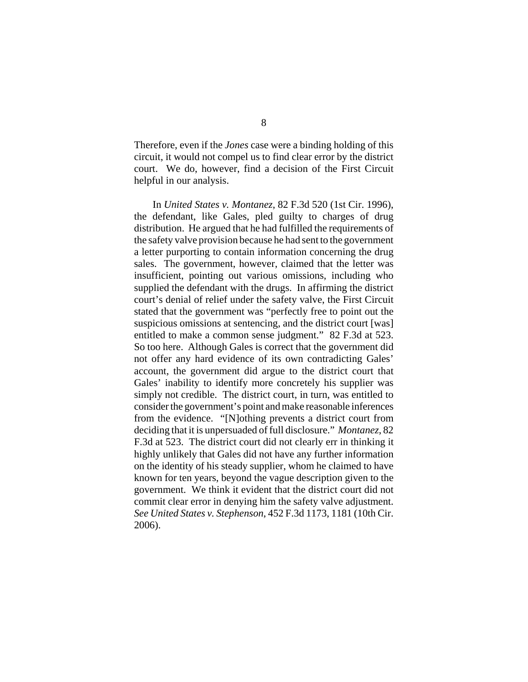Therefore, even if the *Jones* case were a binding holding of this circuit, it would not compel us to find clear error by the district court. We do, however, find a decision of the First Circuit helpful in our analysis.

In *United States v. Montanez*, 82 F.3d 520 (1st Cir. 1996), the defendant, like Gales, pled guilty to charges of drug distribution. He argued that he had fulfilled the requirements of the safety valve provision because he had sent to the government a letter purporting to contain information concerning the drug sales. The government, however, claimed that the letter was insufficient, pointing out various omissions, including who supplied the defendant with the drugs. In affirming the district court's denial of relief under the safety valve, the First Circuit stated that the government was "perfectly free to point out the suspicious omissions at sentencing, and the district court [was] entitled to make a common sense judgment." 82 F.3d at 523. So too here. Although Gales is correct that the government did not offer any hard evidence of its own contradicting Gales' account, the government did argue to the district court that Gales' inability to identify more concretely his supplier was simply not credible. The district court, in turn, was entitled to consider the government's point and make reasonable inferences from the evidence. "[N]othing prevents a district court from deciding that it is unpersuaded of full disclosure." *Montanez*, 82 F.3d at 523. The district court did not clearly err in thinking it highly unlikely that Gales did not have any further information on the identity of his steady supplier, whom he claimed to have known for ten years, beyond the vague description given to the government. We think it evident that the district court did not commit clear error in denying him the safety valve adjustment. *See United States v. Stephenson*, 452 F.3d 1173, 1181 (10th Cir. 2006).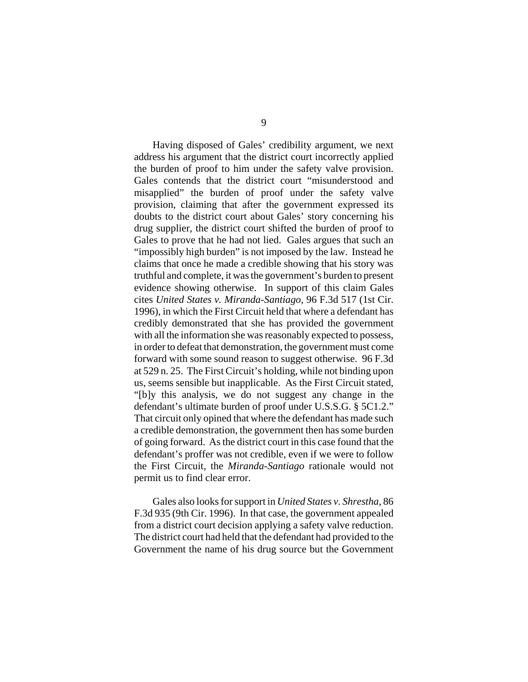Having disposed of Gales' credibility argument, we next address his argument that the district court incorrectly applied the burden of proof to him under the safety valve provision. Gales contends that the district court "misunderstood and misapplied" the burden of proof under the safety valve provision, claiming that after the government expressed its doubts to the district court about Gales' story concerning his drug supplier, the district court shifted the burden of proof to Gales to prove that he had not lied. Gales argues that such an "impossibly high burden" is not imposed by the law. Instead he claims that once he made a credible showing that his story was truthful and complete, it was the government's burden to present evidence showing otherwise. In support of this claim Gales cites *United States v. Miranda-Santiago*, 96 F.3d 517 (1st Cir. 1996), in which the First Circuit held that where a defendant has credibly demonstrated that she has provided the government with all the information she was reasonably expected to possess, in order to defeat that demonstration, the government must come forward with some sound reason to suggest otherwise. 96 F.3d at 529 n. 25. The First Circuit's holding, while not binding upon us, seems sensible but inapplicable. As the First Circuit stated, "[b]y this analysis, we do not suggest any change in the defendant's ultimate burden of proof under U.S.S.G. § 5C1.2." That circuit only opined that where the defendant has made such a credible demonstration, the government then has some burden of going forward. As the district court in this case found that the defendant's proffer was not credible, even if we were to follow the First Circuit, the *Miranda-Santiago* rationale would not permit us to find clear error.

Gales also looks for support in *United States v. Shrestha*, 86 F.3d 935 (9th Cir. 1996). In that case, the government appealed from a district court decision applying a safety valve reduction. The district court had held that the defendant had provided to the Government the name of his drug source but the Government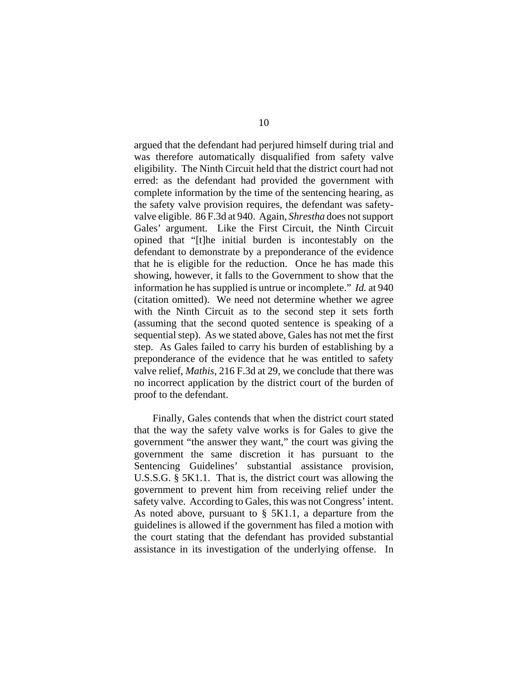argued that the defendant had perjured himself during trial and was therefore automatically disqualified from safety valve eligibility. The Ninth Circuit held that the district court had not erred: as the defendant had provided the government with complete information by the time of the sentencing hearing, as the safety valve provision requires, the defendant was safetyvalve eligible. 86 F.3d at 940. Again, *Shrestha* does not support Gales' argument. Like the First Circuit, the Ninth Circuit opined that "[t]he initial burden is incontestably on the defendant to demonstrate by a preponderance of the evidence that he is eligible for the reduction. Once he has made this showing, however, it falls to the Government to show that the information he has supplied is untrue or incomplete." *Id.* at 940 (citation omitted). We need not determine whether we agree with the Ninth Circuit as to the second step it sets forth (assuming that the second quoted sentence is speaking of a sequential step). As we stated above, Gales has not met the first step. As Gales failed to carry his burden of establishing by a preponderance of the evidence that he was entitled to safety valve relief, *Mathis*, 216 F.3d at 29, we conclude that there was no incorrect application by the district court of the burden of proof to the defendant.

Finally, Gales contends that when the district court stated that the way the safety valve works is for Gales to give the government "the answer they want," the court was giving the government the same discretion it has pursuant to the Sentencing Guidelines' substantial assistance provision, U.S.S.G. § 5K1.1. That is, the district court was allowing the government to prevent him from receiving relief under the safety valve. According to Gales, this was not Congress' intent. As noted above, pursuant to § 5K1.1, a departure from the guidelines is allowed if the government has filed a motion with the court stating that the defendant has provided substantial assistance in its investigation of the underlying offense. In